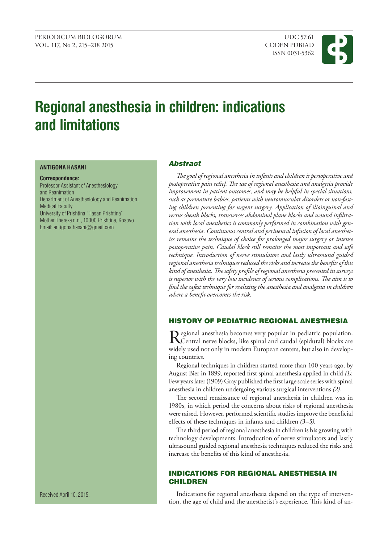ISSN 0031-5362



# **Regional anesthesia in children: indications and limitations**

#### **ANTIGONA HASANI**

**Correspondence:** Professor Assistant of Anesthesiology and Reanimation Department of Anesthesiology and Reanimation, Medical Faculty University of Prishtina "Hasan Prishtina" Mother Thereza n.n., 10000 Prishtina, Kosovo Email: [antigona.hasani](mailto:antigona.hasani@gmail.com)@gmail.com

## Abstract

*The goal of regional anesthesia in infants and children is perioperative and postoperative pain relief. The use of regional anesthesia and analgesia provide improvement in patient outcomes, and may be helpful in special situations, such as premature babies, patients with neuromuscular disorders or non-fasting children presenting for urgent surgery. Application of ilioinguinal and rectus sheath blocks, transverses abdominal plane blocks and wound infiltration with local anesthetics is commonly performed in combination with general anesthesia. Continuous central and perineural infusion of local anesthetics remains the technique of choice for prolonged major surgery or intense postoperative pain. Caudal block still remains the most important and safe technique. Introduction of nerve stimulators and lastly ultrasound guided regional anesthesia techniques reduced the risks and increase the benefits of this kind of anesthesia. The safety profile of regional anesthesia presented in surveys is superior with the very low incidence of serious complications. The aim is to find the safest technique for realizing the anesthesia and analgesia in children where a benefit overcomes the risk.*

# History of pediatric regional anesthesia

Regional anesthesia becomes very popular in pediatric population.<br>Central nerve blocks, like spinal and caudal (epidural) blocks are widely used not only in modern European centers, but also in developing countries.

Regional techniques in children started more than 100 years ago, by August Bier in 1899, reported first spinal anesthesia applied in child *(1).* Few years later (1909) Gray published the first large scale series with spinal anesthesia in children undergoing various surgical interventions *(2).*

The second renaissance of regional anesthesia in children was in 1980s, in which period the concerns about risks of regional anesthesia were raised. However, performed scientific studies improve the beneficial effects of these techniques in infants and children *(3–5).*

The third period of regional anesthesia in children is his growing with technology developments. Introduction of nerve stimulators and lastly ultrasound guided regional anesthesia techniques reduced the risks and increase the benefits of this kind of anesthesia.

# Indications for regional anesthesia in **CHILDREN**

Indications for regional anesthesia depend on the type of intervention, the age of child and the anesthetist's experience. This kind of an-

Received April 10, 2015.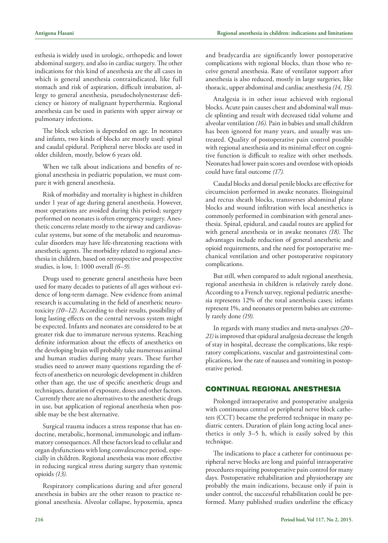esthesia is widely used in urologic, orthopedic and lower abdominal surgery, and also in cardiac surgery. The other indications for this kind of anesthesia are the all cases in which is general anesthesia contraindicated, like full stomach and risk of aspiration, difficult intubation, allergy to general anesthesia, pseudocholynesterase deficiency or history of malignant hyperthermia. Regional anesthesia can be used in patients with upper airway or pulmonary infections.

The block selection is depended on age. In neonates and infants, two kinds of blocks are mostly used: spinal and caudal epidural. Peripheral nerve blocks are used in older children, mostly, below 6 years old.

When we talk about indications and benefits of regional anesthesia in pediatric population, we must compare it with general anesthesia.

Risk of morbidity and mortality is highest in children under 1 year of age during general anesthesia. However, most operations are avoided during this period; surgery performed on neonates is often emergency surgery. Anesthetic concerns relate mostly to the airway and cardiovascular systems, but some of the metabolic and neuromuscular disorders may have life-threatening reactions with anesthetic agents. The morbidity related to regional anesthesia in children, based on retrospective and prospective studies, is low, 1: 1000 overall *(6–9).*

Drugs used to generate general anesthesia have been used for many decades to patients of all ages without evidence of long-term damage. New evidence from animal research is accumulating in the field of anesthetic neurotoxicity *(10–12).* According to their results, possibility of long lasting effects on the central nervous system might be expected. Infants and neonates are considered to be at greater risk due to immature nervous systems. Reaching definite information about the effects of anesthetics on the developing brain will probably take numerous animal and human studies during many years. These further studies need to answer many questions regarding the effects of anesthetics on neurologic development in children other than age, the use of specific anesthetic drugs and techniques, duration of exposure, doses and other factors. Currently there are no alternatives to the anesthetic drugs in use, but application of regional anesthesia when possible may be the best alternative.

Surgical trauma induces a stress response that has endocrine, metabolic, hormonal, immunologic and inflammatory consequences. All these factors lead to cellular and organ dysfunctions with long convalescence period, especially in children. Regional anesthesia was more effective in reducing surgical stress during surgery than systemic opioids *(13).*

Respiratory complications during and after general anesthesia in babies are the other reason to practice regional anesthesia. Alveolar collapse, hypoxemia, apnea and bradycardia are significantly lower postoperative complications with regional blocks, than those who receive general anesthesia. Rate of ventilator support after anesthesia is also reduced, mostly in large surgeries, like thoracic, upper abdominal and cardiac anesthesia *(14, 15).*

Analgesia is in other issue achieved with regional blocks. Acute pain causes chest and abdominal wall muscle splinting and result with decreased tidal volume and alveolar ventilation *(16).* Pain in babies and small children has been ignored for many years, and usually was untreated. Quality of postoperative pain control possible with regional anesthesia and its minimal effect on cognitive function is difficult to realize with other methods. Neonates had lower pain scores and overdose with opioids could have fatal outcome *(17).*

Caudal blocks and dorsal penile blocks are effective for circumcision performed in awake neonates. Ilioinguinal and rectus sheath blocks, transverses abdominal plane blocks and wound infiltration with local anesthetics is commonly performed in combination with general anesthesia. Spinal, epidural, and caudal routes are applied for with general anesthesia or in awake neonates *(18).* The advantages include reduction of general anesthetic and opioid requirements, and the need for postoperative mechanical ventilation and other postoperative respiratory complications.

But still, when compared to adult regional anesthesia, regional anesthesia in children is relatively rarely done. According to a French survey, regional pediatric anesthesia represents 12% of the total anesthesia cases; infants represent 1%, and neonates or preterm babies are extremely rarely done *(19).*

In regards with many studies and meta-analyses *(20– 21)* is improved that epidural analgesia decrease the length of stay in hospital, decrease the complications, like respiratory complications, vascular and gastrointestinal complications, low the rate of nausea and vomiting in postoperative period.

## Continual regional anesthesia

Prolonged intraoperative and postoperative analgesia with continuous central or peripheral nerve block catheters (CCT) became the preferred technique in many pediatric centers. Duration of plain long acting local anesthetics is only 3–5 h, which is easily solved by this technique.

The indications to place a catheter for continuous peripheral nerve blocks are long and painful intraoperative procedures requiring postoperative pain control for many days. Postoperative rehabilitation and physiotherapy are probably the main indications, because only if pain is under control, the successful rehabilitation could be performed. Many published studies underline the efficacy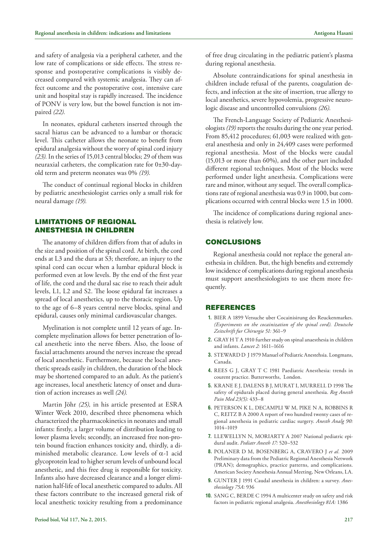and safety of analgesia via a peripheral catheter, and the low rate of complications or side effects. The stress response and postoperative complications is visibly decreased compared with systemic analgesia. They can affect outcome and the postoperative cost, intensive care unit and hospital stay is rapidly increased. The incidence of PONV is very low, but the bowel function is not impaired *(22).*

In neonates, epidural catheters inserted through the sacral hiatus can be advanced to a lumbar or thoracic level. This catheter allows the neonate to benefit from epidural analgesia without the worry of spinal cord injury *(23).* In the series of 15,013 central blocks; 29 of them was neuraxial catheters, the complication rate for 0±30-dayold term and preterm neonates was 0% *(19).*

The conduct of continual regional blocks in children by pediatric anesthesiologist carries only a small risk for neural damage *(19).*

# Limitations of regional anesthesia in children

The anatomy of children differs from that of adults in the size and position of the spinal cord. At birth, the cord ends at L3 and the dura at S3; therefore, an injury to the spinal cord can occur when a lumbar epidural block is performed even at low levels. By the end of the first year of life, the cord and the dural sac rise to reach their adult levels, L1, L2 and S2. The loose epidural fat increases a spread of local anesthetics, up to the thoracic region. Up to the age of 6–8 years central nerve blocks, spinal and epidural, causes only minimal cardiovascular changes.

Myelination is not complete until 12 years of age. Incomplete myelination allows for better penetration of local anesthetic into the nerve fibers. Also, the loose of fascial attachments around the nerves increase the spread of local anesthetic. Furthermore, because the local anesthetic spreads easily in children, the duration of the block may be shortened compared to an adult. As the patient's age increases, local anesthetic latency of onset and duration of action increases as well *(24).*

Martin Jöhr *(25),* in his article presented at ESRA Winter Week 2010, described three phenomena which characterized the pharmacokinetics in neonates and small infants: firstly, a larger volume of distribution leading to lower plasma levels; secondly, an increased free non-protein bound fraction enhances toxicity and, thirdly, a diminished metabolic clearance. Low levels of  $\alpha$ -1 acid glycoprotein lead to higher serum levels of unbound local anesthetic, and this free drug is responsible for toxicity. Infants also have decreased clearance and a longer elimination half-life of local anesthetic compared to adults. All these factors contribute to the increased general risk of local anesthetic toxicity resulting from a predominance

Absolute contraindications for spinal anesthesia in children include refusal of the parents, coagulation defects, and infection at the site of insertion, true allergy to local anesthetics, severe hypovolemia, progressive neurologic disease and uncontrolled convulsions *(26).*

The French-Language Society of Pediatric Anesthesiologists *(19)* reports the results during the one year period. From 85,412 procedures; 61,003 were realized with general anesthesia and only in 24,409 cases were performed regional anesthesia. Most of the blocks were caudal (15,013 or more than 60%), and the other part included different regional techniques. Most of the blocks were performed under light anesthesia. Complications were rare and minor, without any sequel. The overall complications rate of regional anesthesia was 0.9 in 1000, but complications occurred with central blocks were 1.5 in 1000.

The incidence of complications during regional anesthesia is relatively low.

## **CONCLUSIONS**

Regional anesthesia could not replace the general anesthesia in children. But, the high benefits and extremely low incidence of complications during regional anesthesia must support anesthesiologists to use them more frequently.

### **REFERENCES**

- **1.** BIER A 1899 Versuche uber Cocainisirung des Reuckenmarkes. *(Experiments on the cocainization of the spinal cord). Deutsche Zeitschrift fur Chirurgie 51:* 361–9
- **2.** GRAY H T A 1910 further study on spinal anaesthesia in children and infants. *Lancet 2:* 1611–1616
- **3.** STEWARD D J 1979 Manuel of Pediatric Anestehsia. Longmans, Canada.
- **4.** Rees G J, Gray T C 1981 Paediatric Anesthesia: trends in courent practice. Butterworths, London.
- **5.** Krane E J, Dalens B J, Murat I, Murrell D 1998 The safety of epidurals placed during general anesthesia. *Reg Anesth Pain Med 23(5):* 433–8
- **6.** Peterson K L, DeCampli W M, Pike N A, Robbins R C, REITZ B A 2000 A report of two hundred twenty cases of regional anesthesia in pediatric cardiac surgery. *Anesth Analg 90:* 1014–1019
- **7.** Llewellyn N, Moriarty A 2007 National pediatric epidural audit. *Pediatr Anesth 17:* 520–532
- **8.** Polaner D M, Bosenberg A, Cravero J *et al.* 2009 Preliminary data from the Pediatric Regional Anesthesia Network (PRAN); demographics, practice patterns, and complications. American Society Anesthesia Annual Meeting, New Orleans, LA.
- 9. GUNTER J 1991 Caudal anesthesia in children: a survey. Anes*thesiology 75A:* 936
- 10. SANG C, BERDE C 1994 A multicenter study on safety and risk factors in pediatric regional analgesia. *Anesthesiology 81A:* 1386